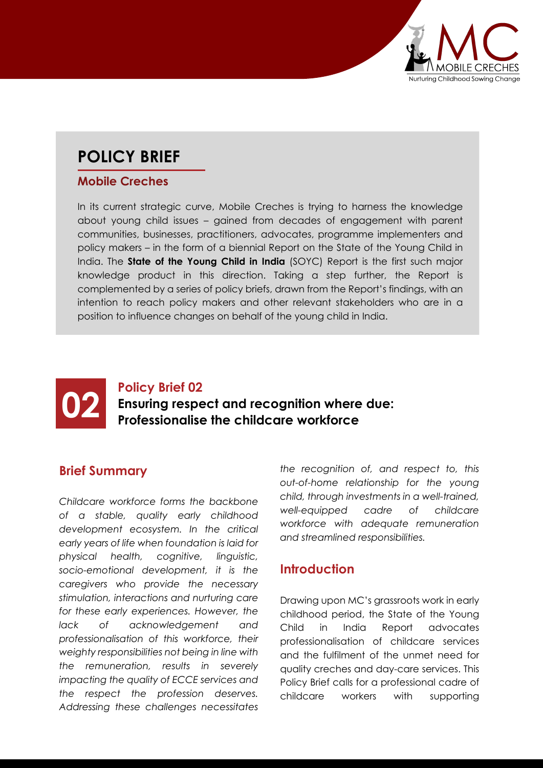

# **POLICY BRIEF**

#### **Mobile Creches**

In its current strategic curve, Mobile Creches is trying to harness the knowledge about young child issues – gained from decades of engagement with parent communities, businesses, practitioners, advocates, programme implementers and policy makers – in the form of a biennial Report on the State of the Young Child in India. The **State of the Young Child in India** (SOYC) Report is the first such major knowledge product in this direction. Taking a step further, the Report is complemented by a series of policy briefs, drawn from the Report's findings, with an intention to reach policy makers and other relevant stakeholders who are in a position to influence changes on behalf of the young child in India.



## **02 Policy Brief 02**<br>**Professionalise Ensuring respect and recognition where due: Professionalise the childcare workforce**

#### **Brief Summary**

*Childcare workforce forms the backbone of a stable, quality early childhood development ecosystem. In the critical early years of life when foundation is laid for physical health, cognitive, linguistic, socio-emotional development, it is the caregivers who provide the necessary stimulation, interactions and nurturing care for these early experiences. However, the lack of acknowledgement and professionalisation of this workforce, their weighty responsibilities not being in line with the remuneration, results in severely impacting the quality of ECCE services and the respect the profession deserves. Addressing these challenges necessitates*  *the recognition of, and respect to, this out-of-home relationship for the young child, through investments in a well-trained, well-equipped cadre of childcare workforce with adequate remuneration and streamlined responsibilities.*

#### **Introduction**

Drawing upon MC's grassroots work in early childhood period, the State of the Young Child in India Report advocates professionalisation of childcare services and the fulfilment of the unmet need for quality creches and day-care services. This Policy Brief calls for a professional cadre of childcare workers with supporting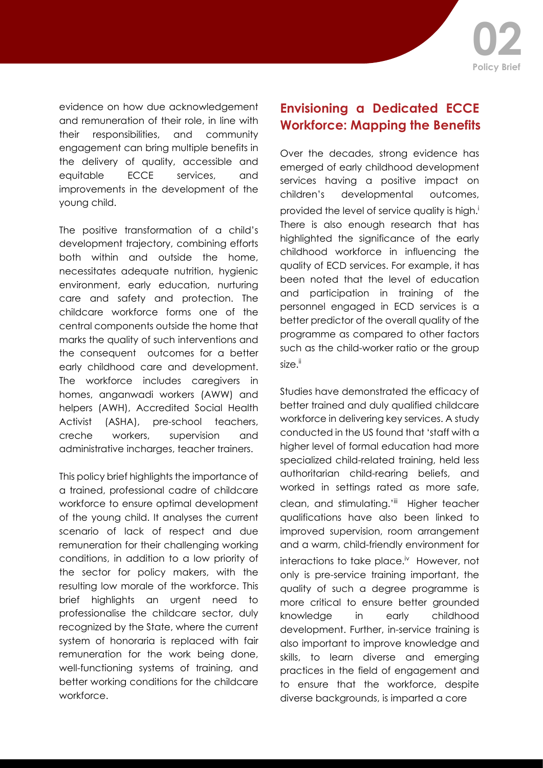

evidence on how due acknowledgement and remuneration of their role, in line with their responsibilities, and community engagement can bring multiple benefits in the delivery of quality, accessible and equitable ECCE services, and improvements in the development of the young child.

The positive transformation of a child's development trajectory, combining efforts both within and outside the home, necessitates adequate nutrition, hygienic environment, early education, nurturing care and safety and protection. The childcare workforce forms one of the central components outside the home that marks the quality of such interventions and the consequent outcomes for a better early childhood care and development. The workforce includes caregivers in homes, anganwadi workers (AWW) and helpers (AWH), Accredited Social Health Activist (ASHA), pre-school teachers, creche workers, supervision and administrative incharges, teacher trainers.

This policy brief highlights the importance of a trained, professional cadre of childcare workforce to ensure optimal development of the young child. It analyses the current scenario of lack of respect and due remuneration for their challenging working conditions, in addition to a low priority of the sector for policy makers, with the resulting low morale of the workforce. This brief highlights an urgent need to professionalise the childcare sector, duly recognized by the State, where the current system of honoraria is replaced with fair remuneration for the work being done, well-functioning systems of training, and better working conditions for the childcare workforce.

### **Envisioning a Dedicated ECCE Workforce: Mapping the Benefits**

Over the decades, strong evidence has emerged of early childhood development services having a positive impact on children's developmental outcomes, provided the level of service quality is high.<sup>i</sup> There is also enough research that has highlighted the significance of the early childhood workforce in influencing the quality of ECD services. For example, it has been noted that the level of education and participation in training of the personnel engaged in ECD services is a better predictor of the overall quality of the programme as compared to other factors such as the child-worker ratio or the group size.<sup>ii</sup>

Studies have demonstrated the efficacy of better trained and duly qualified childcare workforce in delivering key services. A study conducted in the US found that 'staff with a higher level of formal education had more specialized child-related training, held less authoritarian child-rearing beliefs, and worked in settings rated as more safe, clean, and stimulating.'iii Higher teacher qualifications have also been linked to improved supervision, room arrangement and a warm, child-friendly environment for interactions to take place.<sup>iv</sup> However, not only is pre-service training important, the quality of such a degree programme is more critical to ensure better grounded knowledge in early childhood development. Further, in-service training is also important to improve knowledge and skills, to learn diverse and emerging practices in the field of engagement and to ensure that the workforce, despite diverse backgrounds, is imparted a core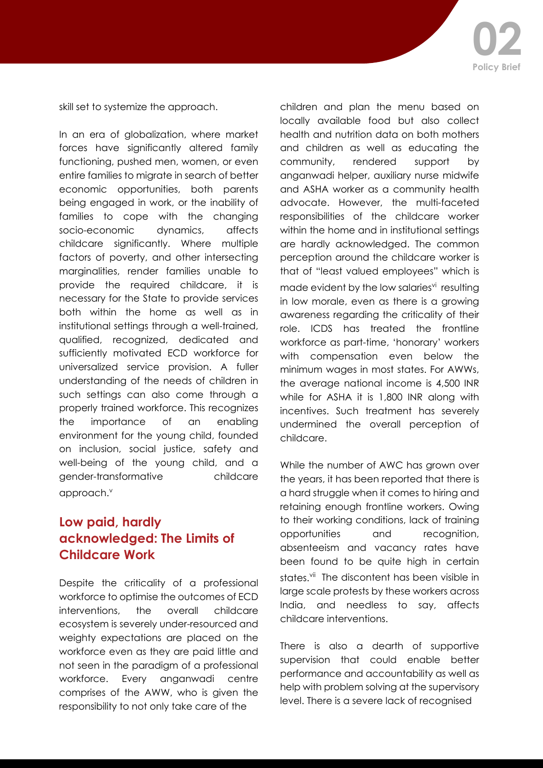skill set to systemize the approach.

In an era of globalization, where market forces have significantly altered family functioning, pushed men, women, or even entire families to migrate in search of better economic opportunities, both parents being engaged in work, or the inability of families to cope with the changing socio-economic dynamics, affects childcare significantly. Where multiple factors of poverty, and other intersecting marginalities, render families unable to provide the required childcare, it is necessary for the State to provide services both within the home as well as in institutional settings through a well-trained, qualified, recognized, dedicated and sufficiently motivated ECD workforce for universalized service provision. A fuller understanding of the needs of children in such settings can also come through a properly trained workforce. This recognizes the importance of an enabling environment for the young child, founded on inclusion, social justice, safety and well-being of the young child, and a gender-transformative childcare approach.<sup>v</sup>

## **Low paid, hardly acknowledged: The Limits of Childcare Work**

Despite the criticality of a professional workforce to optimise the outcomes of ECD interventions, the overall childcare ecosystem is severely under-resourced and weighty expectations are placed on the workforce even as they are paid little and not seen in the paradigm of a professional workforce. Every anganwadi centre comprises of the AWW, who is given the responsibility to not only take care of the

children and plan the menu based on locally available food but also collect health and nutrition data on both mothers and children as well as educating the community, rendered support by anganwadi helper, auxiliary nurse midwife and ASHA worker as a community health advocate. However, the multi-faceted responsibilities of the childcare worker within the home and in institutional settings are hardly acknowledged. The common perception around the childcare worker is that of "least valued employees" which is made evident by the low salaries<sup>vi</sup> resulting in low morale, even as there is a growing awareness regarding the criticality of their role. ICDS has treated the frontline workforce as part-time, 'honorary' workers with compensation even below the minimum wages in most states. For AWWs, the average national income is 4,500 INR while for ASHA it is 1,800 INR along with incentives. Such treatment has severely undermined the overall perception of childcare.

While the number of AWC has grown over the years, it has been reported that there is a hard struggle when it comes to hiring and retaining enough frontline workers. Owing to their working conditions, lack of training opportunities and recognition, absenteeism and vacancy rates have been found to be quite high in certain states.<sup>vii</sup> The discontent has been visible in large scale protests by these workers across India, and needless to say, affects childcare interventions.

There is also a dearth of supportive supervision that could enable better performance and accountability as well as help with problem solving at the supervisory level. There is a severe lack of recognised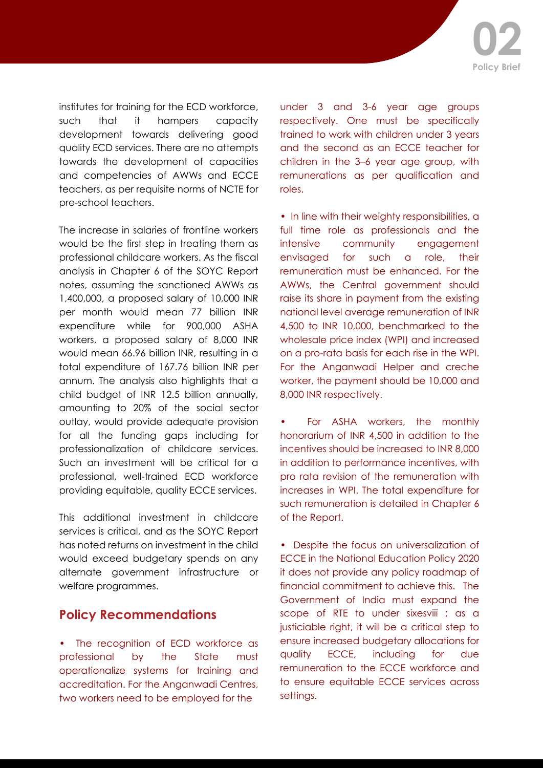institutes for training for the ECD workforce, such that it hampers capacity development towards delivering good quality ECD services. There are no attempts towards the development of capacities and competencies of AWWs and ECCE teachers, as per requisite norms of NCTE for pre-school teachers.

The increase in salaries of frontline workers would be the first step in treating them as professional childcare workers. As the fiscal analysis in Chapter 6 of the SOYC Report notes, assuming the sanctioned AWWs as 1,400,000, a proposed salary of 10,000 INR per month would mean 77 billion INR expenditure while for 900,000 ASHA workers, a proposed salary of 8,000 INR would mean 66.96 billion INR, resulting in a total expenditure of 167.76 billion INR per annum. The analysis also highlights that a child budget of INR 12.5 billion annually, amounting to 20% of the social sector outlay, would provide adequate provision for all the funding gaps including for professionalization of childcare services. Such an investment will be critical for a professional, well-trained ECD workforce providing equitable, quality ECCE services.

This additional investment in childcare services is critical, and as the SOYC Report has noted returns on investment in the child would exceed budgetary spends on any alternate government infrastructure or welfare programmes.

#### **Policy Recommendations**

• The recognition of ECD workforce as professional by the State must operationalize systems for training and accreditation. For the Anganwadi Centres, two workers need to be employed for the

under 3 and 3-6 year age groups respectively. One must be specifically trained to work with children under 3 years and the second as an ECCE teacher for children in the 3–6 year age group, with remunerations as per qualification and roles.

• In line with their weighty responsibilities, a full time role as professionals and the intensive community engagement envisaged for such a role, their remuneration must be enhanced. For the AWWs, the Central government should raise its share in payment from the existing national level average remuneration of INR 4,500 to INR 10,000, benchmarked to the wholesale price index (WPI) and increased on a pro-rata basis for each rise in the WPI. For the Anganwadi Helper and creche worker, the payment should be 10,000 and 8,000 INR respectively.

For ASHA workers, the monthly honorarium of INR 4,500 in addition to the incentives should be increased to INR 8,000 in addition to performance incentives, with pro rata revision of the remuneration with increases in WPI. The total expenditure for such remuneration is detailed in Chapter 6 of the Report.

• Despite the focus on universalization of ECCE in the National Education Policy 2020 it does not provide any policy roadmap of financial commitment to achieve this. The Government of India must expand the scope of RTE to under sixesviii ; as a justiciable right, it will be a critical step to ensure increased budgetary allocations for quality ECCE, including for due remuneration to the ECCE workforce and to ensure equitable ECCE services across settings.